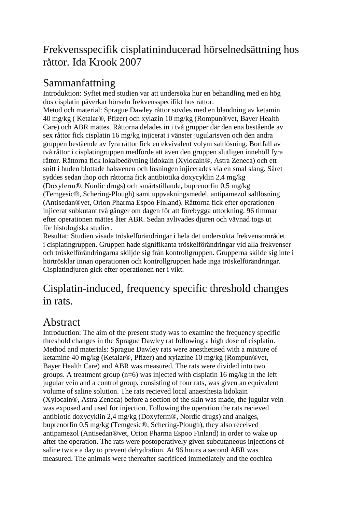## Frekvensspecifik cisplatininducerad hörselnedsättning hos råttor. Ida Krook 2007

## Sammanfattning

Introduktion: Syftet med studien var att undersöka hur en behandling med en hög dos cisplatin påverkar hörseln frekvensspecifikt hos råttor.

Metod och material: Sprague Dawley råttor sövdes med en blandning av ketamin 40 mg/kg ( Ketalar®, Pfizer) och xylazin 10 mg/kg (Rompun®vet, Bayer Health Care) och ABR mättes. Råttorna delades in i två grupper där den ena bestående av sex råttor fick cisplatin 16 mg/kg injicerat i vänster jugularisven och den andra gruppen bestående av fyra råttor fick en ekvivalent volym saltlösning. Bortfall av två råttor i cisplatingruppen medförde att även den gruppen slutligen innehöll fyra råttor. Råttorna fick lokalbedövning lidokain (Xylocain®, Astra Zeneca) och ett snitt i huden blottade halsvenen och lösningen injicerades via en smal slang. Såret syddes sedan ihop och råttorna fick antibiotika doxycyklin 2,4 mg/kg (Doxyferm®, Nordic drugs) och smärtstillande, buprenorfin 0,5 mg/kg

(Temgesic®, Schering-Plough) samt uppvakningsmedel, antipamezol saltlösning (Antisedan®vet, Orion Pharma Espoo Finland). Råttorna fick efter operationen injicerat subkutant två gånger om dagen för att förebygga uttorkning. 96 timmar efter operationen mättes åter ABR. Sedan avlivades djuren och vävnad togs ut för histologiska studier.

Resultat: Studien visade tröskelförändringar i hela det undersökta frekvensområdet i cisplatingruppen. Gruppen hade signifikanta tröskelförändringar vid alla frekvenser och tröskelförändringarna skiljde sig från kontrollgruppen. Grupperna skilde sig inte i hörtrösklar innan operationen och kontrollgruppen hade inga tröskelförändringar. Cisplatindjuren gick efter operationen ner i vikt.

## Cisplatin-induced, frequency specific threshold changes in rats.

## Abstract

Introduction: The aim of the present study was to examine the frequency specific threshold changes in the Sprague Dawley rat following a high dose of cisplatin. Method and materials: Sprague Dawley rats were anesthetised with a mixture of ketamine 40 mg/kg (Ketalar®, Pfizer) and xylazine 10 mg/kg (Rompun®vet, Bayer Health Care) and ABR was measured. The rats were divided into two groups. A treatment group  $(n=6)$  was injected with cisplatin 16 mg/kg in the left jugular vein and a control group, consisting of four rats, was given an equivalent volume of saline solution. The rats recieved local anaesthesia lidokain (Xylocain®, Astra Zeneca) before a section of the skin was made, the jugular vein was exposed and used for injection. Following the operation the rats recieved antibiotic doxycyklin 2,4 mg/kg (Doxyferm®, Nordic drugs) and analges, buprenorfin 0,5 mg/kg (Temgesic®, Schering-Plough), they also received antipamezol (Antisedan®vet, Orion Pharma Espoo Finland) in order to wake up after the operation. The rats were postoperatively given subcutaneous injections of saline twice a day to prevent dehydration. At 96 hours a second ABR was measured. The animals were thereafter sacrificed immediately and the cochlea